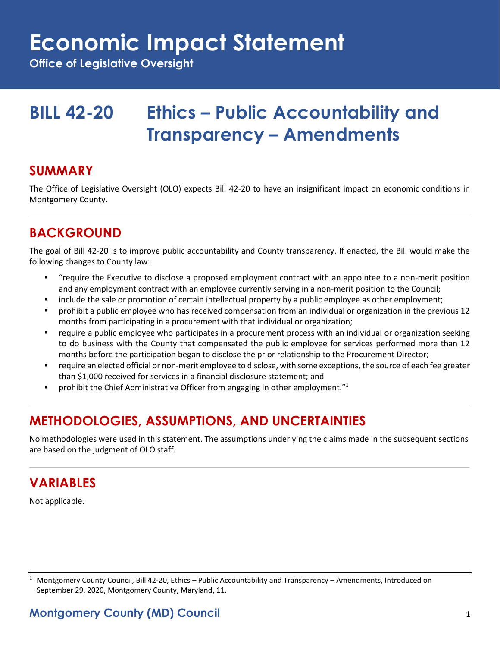## **Economic Impact Statement**

**Office of Legislative Oversight**

## **BILL 42-20 Ethics – Public Accountability and Transparency – Amendments**

#### **SUMMARY**

The Office of Legislative Oversight (OLO) expects Bill 42-20 to have an insignificant impact on economic conditions in Montgomery County.

### **BACKGROUND**

The goal of Bill 42-20 is to improve public accountability and County transparency. If enacted, the Bill would make the following changes to County law:

- "require the Executive to disclose a proposed employment contract with an appointee to a non-merit position and any employment contract with an employee currently serving in a non-merit position to the Council;
- include the sale or promotion of certain intellectual property by a public employee as other employment;
- prohibit a public employee who has received compensation from an individual or organization in the previous 12 months from participating in a procurement with that individual or organization;
- require a public employee who participates in a procurement process with an individual or organization seeking to do business with the County that compensated the public employee for services performed more than 12 months before the participation began to disclose the prior relationship to the Procurement Director;
- require an elected official or non-merit employee to disclose, with some exceptions, the source of each fee greater than \$1,000 received for services in a financial disclosure statement; and
- prohibit the Chief Administrative Officer from engaging in other employment."<sup>1</sup>

## **METHODOLOGIES, ASSUMPTIONS, AND UNCERTAINTIES**

No methodologies were used in this statement. The assumptions underlying the claims made in the subsequent sections are based on the judgment of OLO staff.

#### **VARIABLES**

Not applicable.

 $1$  Montgomery County Council, Bill 42-20, Ethics – Public Accountability and Transparency – Amendments, Introduced on September 29, 2020, Montgomery County, Maryland, 11.